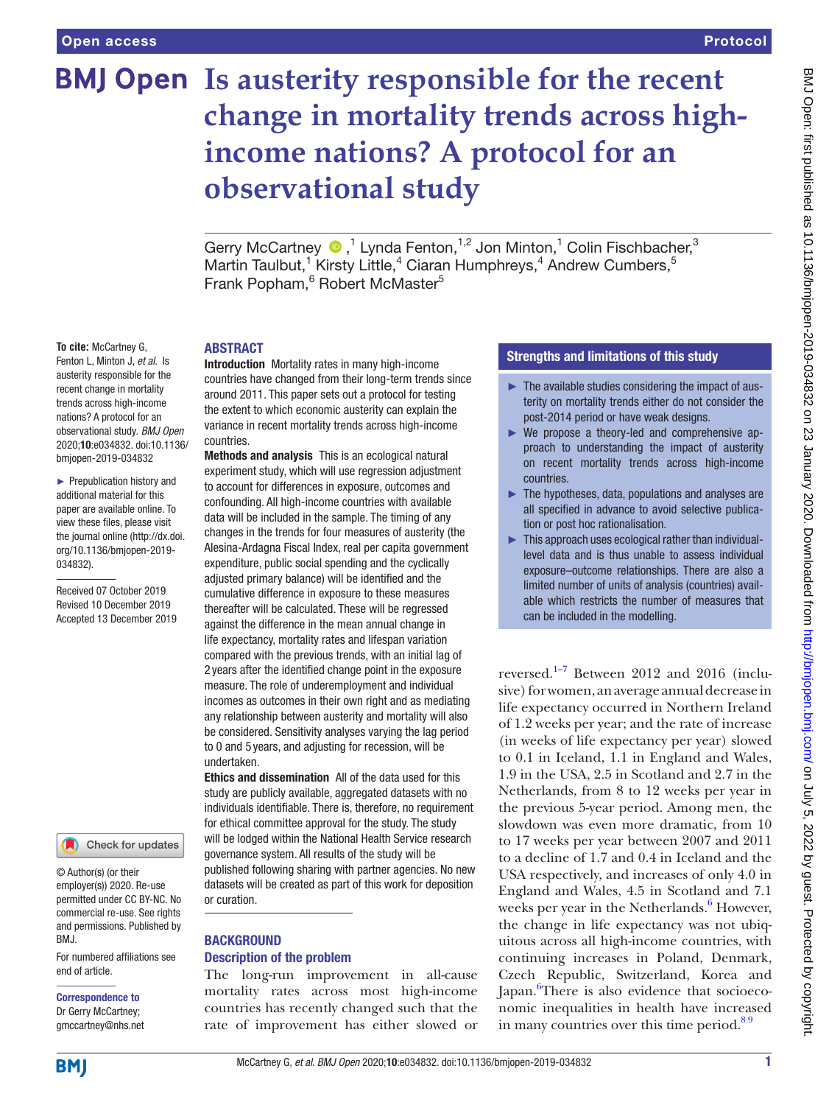# **BMJ Open** Is austerity responsible for the recent **change in mortality trends across highincome nations? A protocol for an observational study**

GerryMcCartney  $\bigcirc$ , <sup>1</sup> Lynda Fenton,<sup>1,2</sup> Jon Minton,<sup>1</sup> Colin Fischbacher,<sup>3</sup> Martin Taulbut,<sup>1</sup> Kirsty Little,<sup>4</sup> Ciaran Humphreys,<sup>4</sup> Andrew Cumbers,<sup>5</sup> Frank Popham,<sup>6</sup> Robert McMaster<sup>5</sup>

# **ARSTRACT**

Introduction Mortality rates in many high-income countries have changed from their long-term trends since around 2011. This paper sets out a protocol for testing the extent to which economic austerity can explain the variance in recent mortality trends across high-income countries.

Methods and analysis This is an ecological natural experiment study, which will use regression adjustment to account for differences in exposure, outcomes and confounding. All high-income countries with available data will be included in the sample. The timing of any changes in the trends for four measures of austerity (the Alesina-Ardagna Fiscal Index, real per capita government expenditure, public social spending and the cyclically adjusted primary balance) will be identified and the cumulative difference in exposure to these measures thereafter will be calculated. These will be regressed against the difference in the mean annual change in life expectancy, mortality rates and lifespan variation compared with the previous trends, with an initial lag of 2 years after the identified change point in the exposure measure. The role of underemployment and individual incomes as outcomes in their own right and as mediating any relationship between austerity and mortality will also be considered. Sensitivity analyses varying the lag period to 0 and 5 years, and adjusting for recession, will be undertaken.

Ethics and dissemination All of the data used for this study are publicly available, aggregated datasets with no individuals identifiable. There is, therefore, no requirement for ethical committee approval for the study. The study will be lodged within the National Health Service research governance system. All results of the study will be published following sharing with partner agencies. No new datasets will be created as part of this work for deposition or curation.

#### **BACKGROUND** Description of the problem

The long-run improvement in all-cause mortality rates across most high-income countries has recently changed such that the rate of improvement has either slowed or

## Strengths and limitations of this study

- $\blacktriangleright$  The available studies considering the impact of austerity on mortality trends either do not consider the post-2014 period or have weak designs.
- ► We propose a theory-led and comprehensive approach to understanding the impact of austerity on recent mortality trends across high-income countries.
- $\blacktriangleright$  The hypotheses, data, populations and analyses are all specified in advance to avoid selective publication or post hoc rationalisation.
- ► This approach uses ecological rather than individuallevel data and is thus unable to assess individual exposure–outcome relationships. There are also a limited number of units of analysis (countries) available which restricts the number of measures that can be included in the modelling.

reversed. $1-7$  Between 2012 and 2016 (inclusive) for women, an average annual decrease in life expectancy occurred in Northern Ireland of 1.2 weeks per year; and the rate of increase (in weeks of life expectancy per year) slowed to 0.1 in Iceland, 1.1 in England and Wales, 1.9 in the USA, 2.5 in Scotland and 2.7 in the Netherlands, from 8 to 12 weeks per year in the previous 5-year period. Among men, the slowdown was even more dramatic, from 10 to 17 weeks per year between 2007 and 2011 to a decline of 1.7 and 0.4 in Iceland and the USA respectively, and increases of only 4.0 in England and Wales, 4.5 in Scotland and 7.1 weeks per year in the Netherlands.<sup>[6](#page-8-1)</sup> However, the change in life expectancy was not ubiquitous across all high-income countries, with continuing increases in Poland, Denmark, Czech Republic, Switzerland, Korea and Japan.<sup>[6](#page-8-1)</sup>There is also evidence that socioeconomic inequalities in health have increased in many countries over this time period. $89$ 

**To cite:** McCartney G, Fenton L, Minton J, *et al*. Is austerity responsible for the recent change in mortality trends across high-income nations? A protocol for an

► Prepublication history and additional material for this paper are available online. To view these files, please visit the journal online (http://dx.doi. org/10.1136/bmjopen-2019- 034832).

observational study. *BMJ Open* 2020;10:e034832. doi:10.1136/ bmjopen-2019-034832

Received 07 October 2019 Revised 10 December 2019 Accepted 13 December 2019



© Author(s) (or their employer(s)) 2020. Re-use permitted under CC BY-NC. No commercial re-use. See rights and permissions. Published by BMJ.

For numbered affiliations see end of article.

#### Correspondence to Dr Gerry McCartney; gmccartney@nhs.net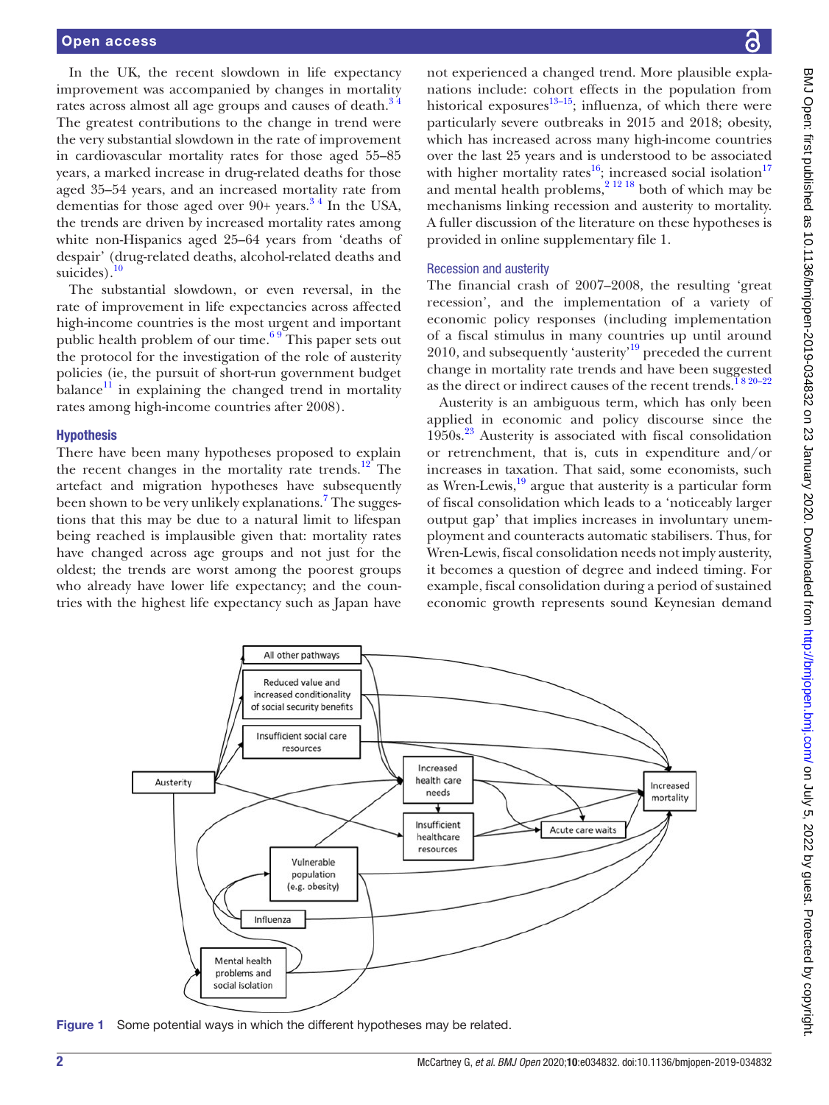In the UK, the recent slowdown in life expectancy improvement was accompanied by changes in mortality rates across almost all age groups and causes of death.<sup>34</sup> The greatest contributions to the change in trend were the very substantial slowdown in the rate of improvement in cardiovascular mortality rates for those aged 55–85 years, a marked increase in drug-related deaths for those aged 35–54 years, and an increased mortality rate from dementias for those aged over  $90+$  years.<sup>34</sup> In the USA, the trends are driven by increased mortality rates among white non-Hispanics aged 25–64 years from 'deaths of despair' (drug-related deaths, alcohol-related deaths and suicides). $10$ 

The substantial slowdown, or even reversal, in the rate of improvement in life expectancies across affected high-income countries is the most urgent and important public health problem of our time.<sup>69</sup> This paper sets out the protocol for the investigation of the role of austerity policies (ie, the pursuit of short-run government budget balance $1$ <sup>1</sup> in explaining the changed trend in mortality rates among high-income countries after 2008).

#### Hypothesis

There have been many hypotheses proposed to explain the recent changes in the mortality rate trends.<sup>12</sup> The artefact and migration hypotheses have subsequently been shown to be very unlikely explanations.<sup>[7](#page-8-7)</sup> The suggestions that this may be due to a natural limit to lifespan being reached is implausible given that: mortality rates have changed across age groups and not just for the oldest; the trends are worst among the poorest groups who already have lower life expectancy; and the countries with the highest life expectancy such as Japan have

not experienced a changed trend. More plausible explanations include: cohort effects in the population from historical exposures $13-15$ ; influenza, of which there were particularly severe outbreaks in 2015 and 2018; obesity, which has increased across many high-income countries over the last 25 years and is understood to be associated with higher mortality rates<sup>16</sup>; increased social isolation<sup>[17](#page-8-10)</sup> and mental health problems, $2^{12}$ <sup>18</sup> both of which may be mechanisms linking recession and austerity to mortality. A fuller discussion of the literature on these hypotheses is provided in [online supplementary file 1.](https://dx.doi.org/10.1136/bmjopen-2019-034832)

#### Recession and austerity

The financial crash of 2007–2008, the resulting 'great recession', and the implementation of a variety of economic policy responses (including implementation of a fiscal stimulus in many countries up until around 2010, and subsequently 'austerity'[19](#page-8-12) preceded the current change in mortality rate trends and have been suggested as the direct or indirect causes of the recent trends.<sup>1820-22</sup>

Austerity is an ambiguous term, which has only been applied in economic and policy discourse since the 1950s.<sup>23</sup> Austerity is associated with fiscal consolidation or retrenchment, that is, cuts in expenditure and/or increases in taxation. That said, some economists, such as Wren-Lewis, $19$  argue that austerity is a particular form of fiscal consolidation which leads to a 'noticeably larger output gap' that implies increases in involuntary unemployment and counteracts automatic stabilisers. Thus, for Wren-Lewis, fiscal consolidation needs not imply austerity, it becomes a question of degree and indeed timing. For example, fiscal consolidation during a period of sustained economic growth represents sound Keynesian demand



<span id="page-1-0"></span>Figure 1 Some potential ways in which the different hypotheses may be related.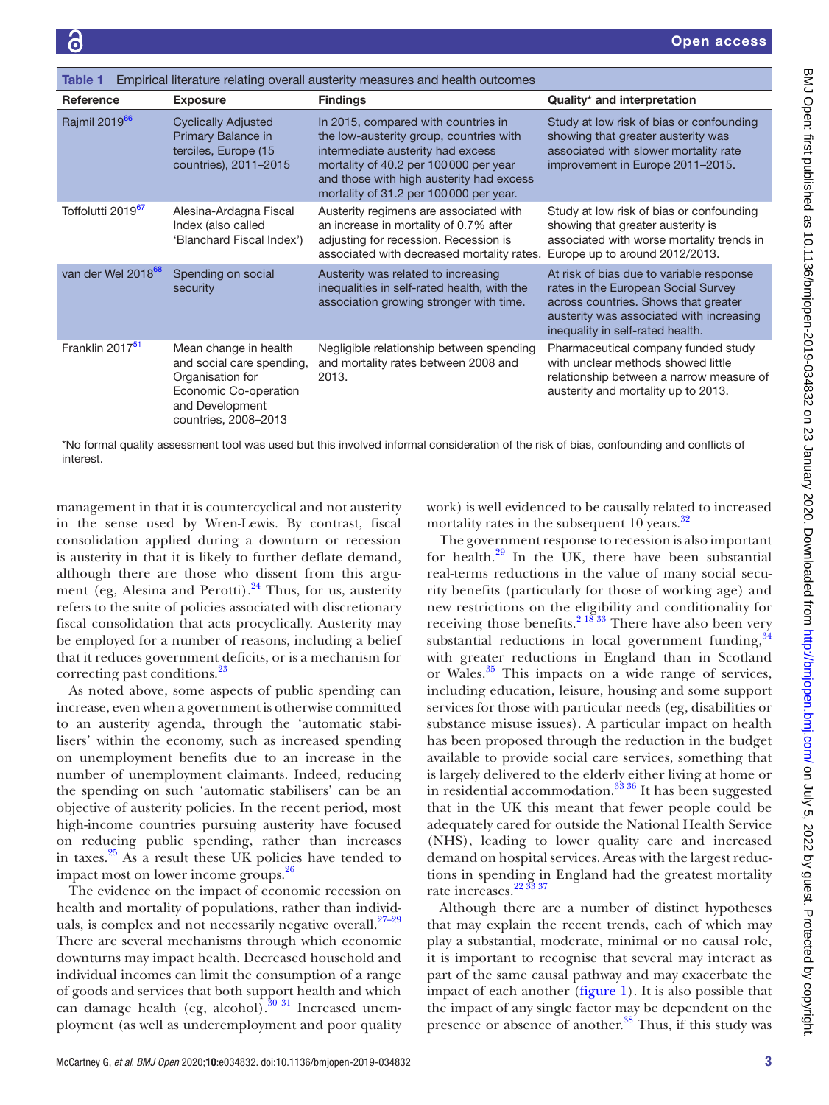<span id="page-2-0"></span>

| Table 1                        |                                                                                                                                            | Empirical literature relating overall austerity measures and health outcomes                                                                                                                                                                       |                                                                                                                                                                                                         |
|--------------------------------|--------------------------------------------------------------------------------------------------------------------------------------------|----------------------------------------------------------------------------------------------------------------------------------------------------------------------------------------------------------------------------------------------------|---------------------------------------------------------------------------------------------------------------------------------------------------------------------------------------------------------|
| Reference                      | <b>Exposure</b>                                                                                                                            | <b>Findings</b>                                                                                                                                                                                                                                    | Quality* and interpretation                                                                                                                                                                             |
| Rajmil 2019 <sup>66</sup>      | <b>Cyclically Adjusted</b><br>Primary Balance in<br>terciles, Europe (15<br>countries), 2011-2015                                          | In 2015, compared with countries in<br>the low-austerity group, countries with<br>intermediate austerity had excess<br>mortality of 40.2 per 100000 per year<br>and those with high austerity had excess<br>mortality of 31.2 per 100000 per year. | Study at low risk of bias or confounding<br>showing that greater austerity was<br>associated with slower mortality rate<br>improvement in Europe 2011-2015.                                             |
| Toffolutti 2019 <sup>67</sup>  | Alesina-Ardagna Fiscal<br>Index (also called<br>'Blanchard Fiscal Index')                                                                  | Austerity regimens are associated with<br>an increase in mortality of 0.7% after<br>adjusting for recession. Recession is<br>associated with decreased mortality rates.                                                                            | Study at low risk of bias or confounding<br>showing that greater austerity is<br>associated with worse mortality trends in<br>Europe up to around 2012/2013.                                            |
| van der Wel 2018 <sup>68</sup> | Spending on social<br>security                                                                                                             | Austerity was related to increasing<br>inequalities in self-rated health, with the<br>association growing stronger with time.                                                                                                                      | At risk of bias due to variable response<br>rates in the European Social Survey<br>across countries. Shows that greater<br>austerity was associated with increasing<br>inequality in self-rated health. |
| Franklin 2017 <sup>51</sup>    | Mean change in health<br>and social care spending,<br>Organisation for<br>Economic Co-operation<br>and Development<br>countries, 2008-2013 | Negligible relationship between spending<br>and mortality rates between 2008 and<br>2013.                                                                                                                                                          | Pharmaceutical company funded study<br>with unclear methods showed little<br>relationship between a narrow measure of<br>austerity and mortality up to 2013.                                            |

\*No formal quality assessment tool was used but this involved informal consideration of the risk of bias, confounding and conflicts of interest.

management in that it is countercyclical and not austerity in the sense used by Wren-Lewis. By contrast, fiscal consolidation applied during a downturn or recession is austerity in that it is likely to further deflate demand, although there are those who dissent from this argument (eg, Alesina and Perotti).<sup>24</sup> Thus, for us, austerity refers to the suite of policies associated with discretionary fiscal consolidation that acts procyclically. Austerity may be employed for a number of reasons, including a belief that it reduces government deficits, or is a mechanism for correcting past conditions.<sup>[23](#page-8-13)</sup>

As noted above, some aspects of public spending can increase, even when a government is otherwise committed to an austerity agenda, through the 'automatic stabilisers' within the economy, such as increased spending on unemployment benefits due to an increase in the number of unemployment claimants. Indeed, reducing the spending on such 'automatic stabilisers' can be an objective of austerity policies. In the recent period, most high-income countries pursuing austerity have focused on reducing public spending, rather than increases in taxes. $25$  As a result these UK policies have tended to impact most on lower income groups.<sup>[26](#page-8-16)</sup>

The evidence on the impact of economic recession on health and mortality of populations, rather than individuals, is complex and not necessarily negative overall. $27-29$ There are several mechanisms through which economic downturns may impact health. Decreased household and individual incomes can limit the consumption of a range of goods and services that both support health and which can damage health (eg, alcohol). $30\frac{3}{1}$  Increased unemployment (as well as underemployment and poor quality

work) is well evidenced to be causally related to increased mortality rates in the subsequent 10 years.<sup>32</sup>

The government response to recession is also important for health. $^{29}$  $^{29}$  $^{29}$  In the UK, there have been substantial real-terms reductions in the value of many social security benefits (particularly for those of working age) and new restrictions on the eligibility and conditionality for receiving those benefits.<sup>2</sup> 18 33 There have also been very substantial reductions in local government funding,  $34$ with greater reductions in England than in Scotland or Wales.<sup>[35](#page-8-22)</sup> This impacts on a wide range of services, including education, leisure, housing and some support services for those with particular needs (eg, disabilities or substance misuse issues). A particular impact on health has been proposed through the reduction in the budget available to provide social care services, something that is largely delivered to the elderly either living at home or in residential accommodation. $33/36$  It has been suggested that in the UK this meant that fewer people could be adequately cared for outside the National Health Service (NHS), leading to lower quality care and increased demand on hospital services. Areas with the largest reductions in spending in England had the greatest mortality rate increases.<sup>22</sup> 33 37

Although there are a number of distinct hypotheses that may explain the recent trends, each of which may play a substantial, moderate, minimal or no causal role, it is important to recognise that several may interact as part of the same causal pathway and may exacerbate the impact of each another ([figure](#page-1-0) 1). It is also possible that the impact of any single factor may be dependent on the presence or absence of another[.38](#page-8-25) Thus, if this study was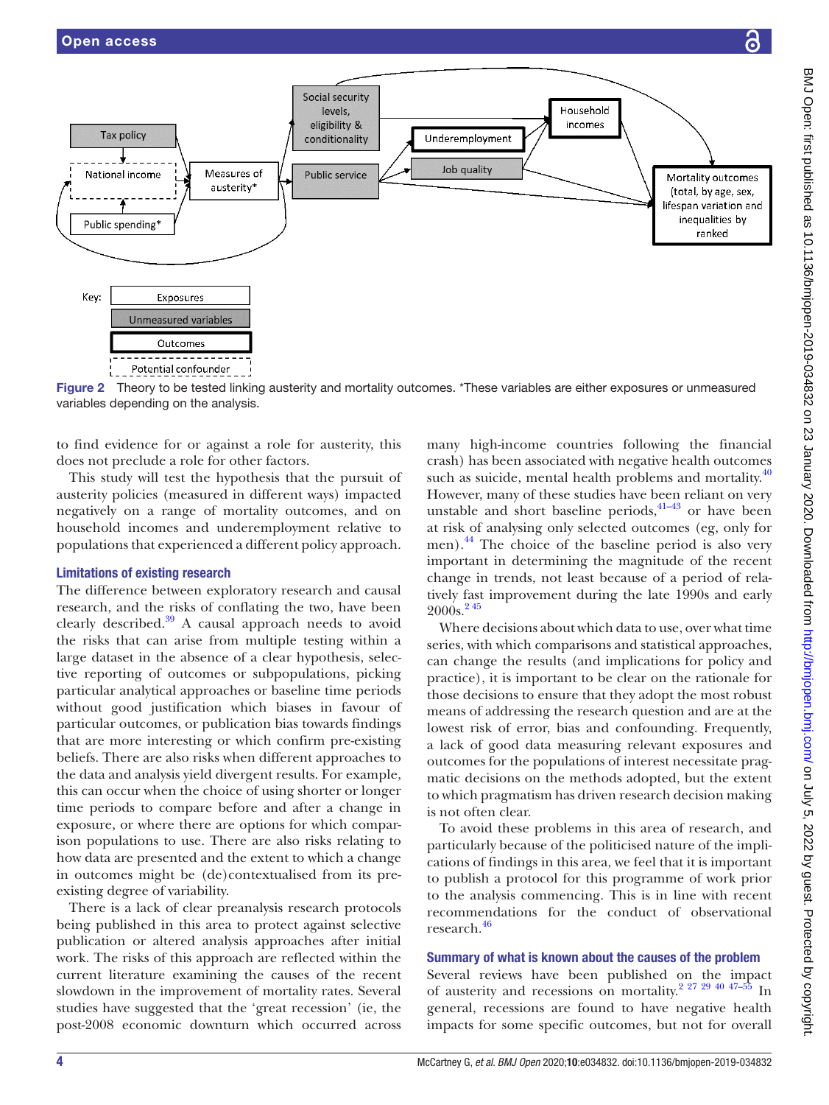



<span id="page-3-0"></span>Figure 2 Theory to be tested linking austerity and mortality outcomes. \*These variables are either exposures or unmeasured variables depending on the analysis.

to find evidence for or against a role for austerity, this does not preclude a role for other factors.

This study will test the hypothesis that the pursuit of austerity policies (measured in different ways) impacted negatively on a range of mortality outcomes, and on household incomes and underemployment relative to populations that experienced a different policy approach.

#### Limitations of existing research

The difference between exploratory research and causal research, and the risks of conflating the two, have been clearly described. $39$  A causal approach needs to avoid the risks that can arise from multiple testing within a large dataset in the absence of a clear hypothesis, selective reporting of outcomes or subpopulations, picking particular analytical approaches or baseline time periods without good justification which biases in favour of particular outcomes, or publication bias towards findings that are more interesting or which confirm pre-existing beliefs. There are also risks when different approaches to the data and analysis yield divergent results. For example, this can occur when the choice of using shorter or longer time periods to compare before and after a change in exposure, or where there are options for which comparison populations to use. There are also risks relating to how data are presented and the extent to which a change in outcomes might be (de)contextualised from its preexisting degree of variability.

There is a lack of clear preanalysis research protocols being published in this area to protect against selective publication or altered analysis approaches after initial work. The risks of this approach are reflected within the current literature examining the causes of the recent slowdown in the improvement of mortality rates. Several studies have suggested that the 'great recession' (ie, the post-2008 economic downturn which occurred across

many high-income countries following the financial crash) has been associated with negative health outcomes such as suicide, mental health problems and mortality.<sup>[40](#page-8-27)</sup> However, many of these studies have been reliant on very unstable and short baseline periods, $41-43$  or have been at risk of analysing only selected outcomes (eg, only for men).<sup>44</sup> The choice of the baseline period is also very important in determining the magnitude of the recent change in trends, not least because of a period of relatively fast improvement during the late 1990s and early  $2000s.<sup>2 45</sup>$  $2000s.<sup>2 45</sup>$  $2000s.<sup>2 45</sup>$ 

Where decisions about which data to use, over what time series, with which comparisons and statistical approaches, can change the results (and implications for policy and practice), it is important to be clear on the rationale for those decisions to ensure that they adopt the most robust means of addressing the research question and are at the lowest risk of error, bias and confounding. Frequently, a lack of good data measuring relevant exposures and outcomes for the populations of interest necessitate pragmatic decisions on the methods adopted, but the extent to which pragmatism has driven research decision making is not often clear.

To avoid these problems in this area of research, and particularly because of the politicised nature of the implications of findings in this area, we feel that it is important to publish a protocol for this programme of work prior to the analysis commencing. This is in line with recent recommendations for the conduct of observational research.<sup>46</sup>

#### Summary of what is known about the causes of the problem

Several reviews have been published on the impact of austerity and recessions on mortality.[2 27 29 40 47–55](#page-8-11) In general, recessions are found to have negative health impacts for some specific outcomes, but not for overall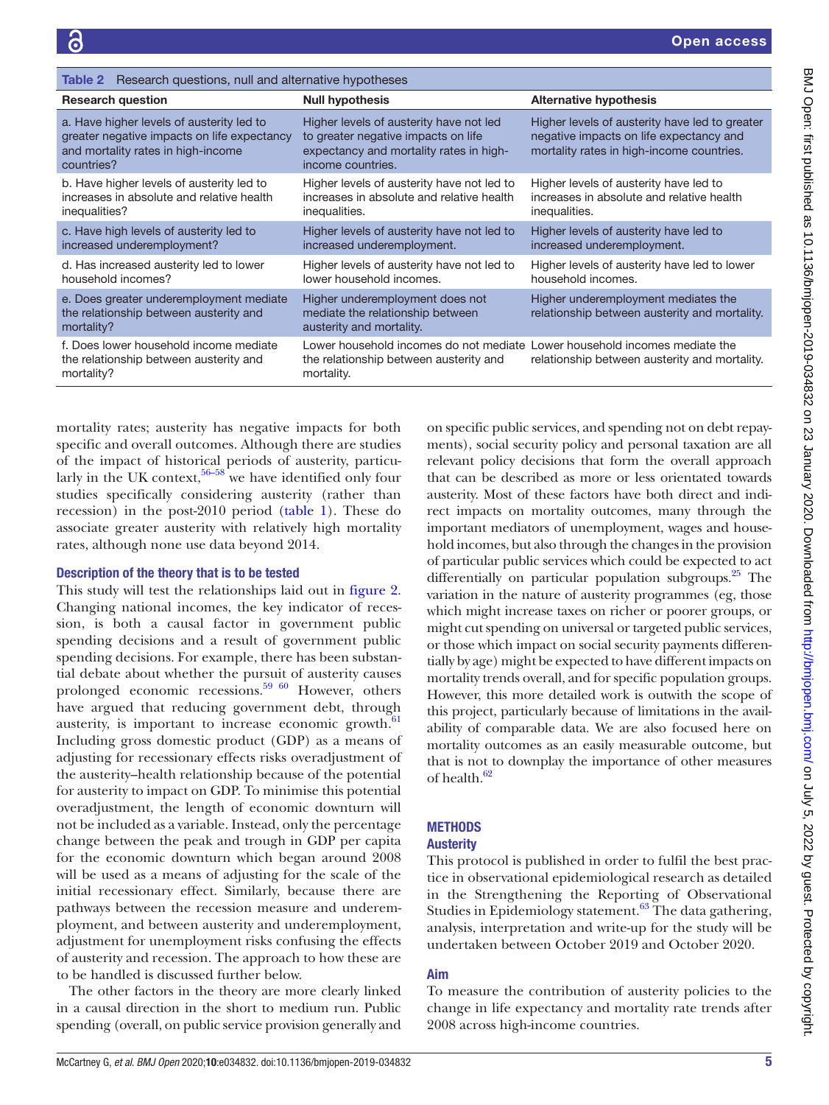<span id="page-4-0"></span>

| Research questions, null and alternative hypotheses<br>Table 2                                                                               |                                                                                                                                                |                                                                                                                                        |
|----------------------------------------------------------------------------------------------------------------------------------------------|------------------------------------------------------------------------------------------------------------------------------------------------|----------------------------------------------------------------------------------------------------------------------------------------|
| <b>Research question</b>                                                                                                                     | <b>Null hypothesis</b>                                                                                                                         | <b>Alternative hypothesis</b>                                                                                                          |
| a. Have higher levels of austerity led to<br>greater negative impacts on life expectancy<br>and mortality rates in high-income<br>countries? | Higher levels of austerity have not led<br>to greater negative impacts on life<br>expectancy and mortality rates in high-<br>income countries. | Higher levels of austerity have led to greater<br>negative impacts on life expectancy and<br>mortality rates in high-income countries. |
| b. Have higher levels of austerity led to<br>increases in absolute and relative health<br>inequalities?                                      | Higher levels of austerity have not led to<br>increases in absolute and relative health<br>inequalities.                                       | Higher levels of austerity have led to<br>increases in absolute and relative health<br>inequalities.                                   |
| c. Have high levels of austerity led to<br>increased underemployment?                                                                        | Higher levels of austerity have not led to<br>increased underemployment.                                                                       | Higher levels of austerity have led to<br>increased underemployment.                                                                   |
| d. Has increased austerity led to lower<br>household incomes?                                                                                | Higher levels of austerity have not led to<br>lower household incomes.                                                                         | Higher levels of austerity have led to lower<br>household incomes.                                                                     |
| e. Does greater underemployment mediate<br>the relationship between austerity and<br>mortality?                                              | Higher underemployment does not<br>mediate the relationship between<br>austerity and mortality.                                                | Higher underemployment mediates the<br>relationship between austerity and mortality.                                                   |
| f. Does lower household income mediate<br>the relationship between austerity and<br>mortality?                                               | Lower household incomes do not mediate Lower household incomes mediate the<br>the relationship between austerity and<br>mortality.             | relationship between austerity and mortality.                                                                                          |

mortality rates; austerity has negative impacts for both specific and overall outcomes. Although there are studies of the impact of historical periods of austerity, particularly in the UK context,  $56-58$  we have identified only four studies specifically considering austerity (rather than recession) in the post-2010 period [\(table](#page-2-0) 1). These do associate greater austerity with relatively high mortality rates, although none use data beyond 2014.

#### Description of the theory that is to be tested

This study will test the relationships laid out in [figure](#page-3-0) 2. Changing national incomes, the key indicator of recession, is both a causal factor in government public spending decisions and a result of government public spending decisions. For example, there has been substantial debate about whether the pursuit of austerity causes prolonged economic recessions.<sup>[59 60](#page-9-7)</sup> However, others have argued that reducing government debt, through austerity, is important to increase economic growth. $61$ Including gross domestic product (GDP) as a means of adjusting for recessionary effects risks overadjustment of the austerity–health relationship because of the potential for austerity to impact on GDP. To minimise this potential overadjustment, the length of economic downturn will not be included as a variable. Instead, only the percentage change between the peak and trough in GDP per capita for the economic downturn which began around 2008 will be used as a means of adjusting for the scale of the initial recessionary effect. Similarly, because there are pathways between the recession measure and underemployment, and between austerity and underemployment, adjustment for unemployment risks confusing the effects of austerity and recession. The approach to how these are to be handled is discussed further below.

The other factors in the theory are more clearly linked in a causal direction in the short to medium run. Public spending (overall, on public service provision generally and

on specific public services, and spending not on debt repayments), social security policy and personal taxation are all relevant policy decisions that form the overall approach that can be described as more or less orientated towards austerity. Most of these factors have both direct and indirect impacts on mortality outcomes, many through the important mediators of unemployment, wages and household incomes, but also through the changes in the provision of particular public services which could be expected to act differentially on particular population subgroups. $25$  The variation in the nature of austerity programmes (eg, those which might increase taxes on richer or poorer groups, or might cut spending on universal or targeted public services, or those which impact on social security payments differentially by age) might be expected to have different impacts on mortality trends overall, and for specific population groups. However, this more detailed work is outwith the scope of this project, particularly because of limitations in the availability of comparable data. We are also focused here on mortality outcomes as an easily measurable outcome, but that is not to downplay the importance of other measures of health. $62$ 

### **METHODS**

#### **Austerity**

This protocol is published in order to fulfil the best practice in observational epidemiological research as detailed in the Strengthening the Reporting of Observational Studies in Epidemiology statement. $63$  The data gathering, analysis, interpretation and write-up for the study will be undertaken between October 2019 and October 2020.

#### Aim

To measure the contribution of austerity policies to the change in life expectancy and mortality rate trends after 2008 across high-income countries.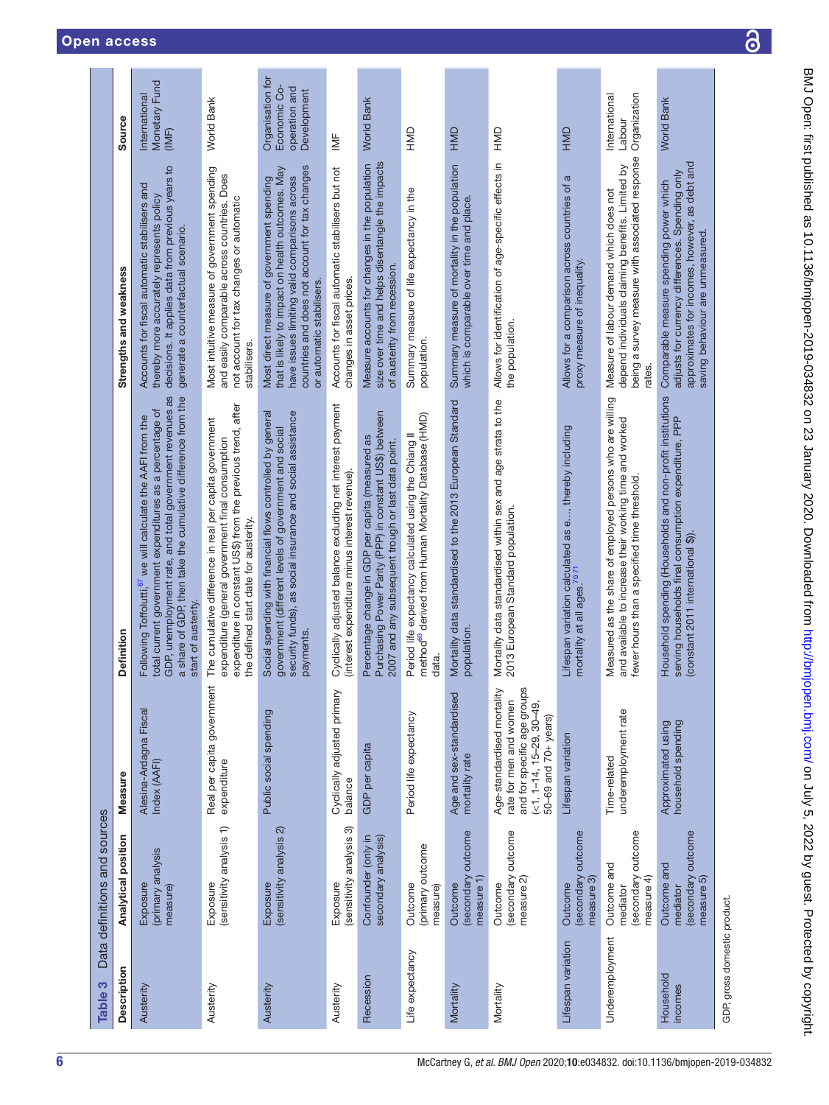<span id="page-5-0"></span>

| Table 3                      | Data definitions and sources                                |                                                                                                                                             |                                                                                                                                                                                                                                                                                        |                                                                                                                                                                                                                                |                                                                  |
|------------------------------|-------------------------------------------------------------|---------------------------------------------------------------------------------------------------------------------------------------------|----------------------------------------------------------------------------------------------------------------------------------------------------------------------------------------------------------------------------------------------------------------------------------------|--------------------------------------------------------------------------------------------------------------------------------------------------------------------------------------------------------------------------------|------------------------------------------------------------------|
| Description                  | Analytical position                                         | Measure                                                                                                                                     | Definition                                                                                                                                                                                                                                                                             | Strengths and weakness                                                                                                                                                                                                         | Source                                                           |
| Austerity                    | (primary analysis<br>Exposure<br>measure)                   | Alesina-Ardagna Fiscal<br>Index (AAFI)                                                                                                      | GDP, unemployment rate, and total government revenues as<br>a share of GDP, then take the cumulative difference from the<br>total current government expenditures as a percentage of<br>Following Toffolutti, <sup>67</sup> we will calculate the AAFI from the<br>start of austerity. | decisions. It applies data from previous years to<br>Accounts for fiscal automatic stabilisers and<br>thereby more accurately represents policy<br>generate a counterfactual scenario.                                         | Monetary Fund<br>nternational<br>(MF)                            |
| Austerity                    | (sensitivity analysis 1)<br>Exposure                        | Real per capita government<br>expenditure                                                                                                   | expenditure in constant US\$) from the previous trend, after<br>The cumulative difference in real per capita government<br>expenditure (general government final consumption<br>the defined start date for austerity.                                                                  | Most intuitive measure of government spending<br>and easily comparable across countries. Does<br>not account for tax changes or automatic<br>stabilisers.                                                                      | World Bank                                                       |
| Austerity                    | (sensitivity analysis 2)<br>Exposure                        | Public social spending                                                                                                                      | security funds), as social insurance and social assistance<br>Social spending with financial flows controlled by general<br>government (different levels of government and social<br>payments.                                                                                         | countries and does not account for tax changes<br>that is likely to impact on health outcomes. May<br>have issues limiting valid comparisons across<br>Most direct measure of government spending<br>or automatic stabilisers. | Organisation for<br>Economic Co-<br>operation and<br>Development |
| Austerity                    | (sensitivity analysis 3)<br>Exposure                        | Cyclically adjusted primary<br>balance                                                                                                      | Cyclically adjusted balance excluding net interest payment<br>(interest expenditure minus interest revenue).                                                                                                                                                                           | Accounts for fiscal automatic stabilisers but not<br>changes in asset prices.                                                                                                                                                  | lΜF                                                              |
| Recession                    | Confounder (only in<br>secondary analysis)                  | GDP per capita                                                                                                                              | Purchasing Power Parity (PPP) in constant US\$) between<br>Percentage change in GDP per capita (measured as<br>2007 and any subsequent trough or last data point.                                                                                                                      | size over time and helps disentangle the impacts<br>Measure accounts for changes in the population<br>of austerity from recession.                                                                                             | <b>World Bank</b>                                                |
| Life expectancy              | (primary outcome<br>Outcome<br>measure)                     | Period life expectancy                                                                                                                      | method <sup>69</sup> derived from Human Mortality Database (HMD)<br>Period life expectancy calculated using the Chiang II<br>data.                                                                                                                                                     | Summary measure of life expectancy in the<br>population.                                                                                                                                                                       | HMD                                                              |
| Mortality                    | (secondary outcome<br>measure 1)<br>Outcome                 | Age and sex-standardised<br>mortality rate                                                                                                  | Mortality data standardised to the 2013 European Standard<br>population.                                                                                                                                                                                                               | Summary measure of mortality in the population<br>which is comparable over time and place.                                                                                                                                     | HMD                                                              |
| Mortality                    | (secondary outcome<br>measure 2)<br>Outcome                 | and for specific age groups<br>Age-standardised mortality<br>rate for men and women<br>$($ < 1, 1–14, 15–29, 30–49,<br>50-69 and 70+ years) | Mortality data standardised within sex and age strata to the<br>2013 European Standard population.                                                                                                                                                                                     | Allows for identification of age-specific effects in<br>the population.                                                                                                                                                        | $rac{1}{2}$                                                      |
| Lifespan variation           | (secondary outcome<br>measure 3)<br>Outcome                 | Lifespan variation                                                                                                                          | Lifespan variation calculated as e, thereby including<br>mortality at all ages. <sup>7071</sup>                                                                                                                                                                                        | Allows for a comparison across countries of a<br>proxy measure of inequality                                                                                                                                                   | HMD                                                              |
| Underemployment              | secondary outcome<br>Outcome and<br>measure 4)<br>mediator  | underemployment rate<br>Time-related                                                                                                        | Measured as the share of employed persons who are willing<br>and available to increase their working time and worked<br>fewer hours than a specified time threshold.                                                                                                                   | being a survey measure with associated response<br>depend individuals claiming benefits. Limited by<br>Measure of labour demand which does not<br>rates.                                                                       | Organization<br>International<br>Labour                          |
| Household<br>incomes         | (secondary outcome<br>Outcome and<br>measure 5)<br>mediator | household spending<br>Approximated using                                                                                                    | Household spending (Households and non-profit institutions<br>serving households final consumption expenditure, PPP<br>(constant 2011 international \$)).                                                                                                                              | approximates for incomes, however, as debt and<br>adjusts for currency differences. Spending only<br>Comparable measure spending power which<br>saving behaviour are unmeasured.                                               | <b>World Bank</b>                                                |
| GDP, gross domestic product. |                                                             |                                                                                                                                             |                                                                                                                                                                                                                                                                                        |                                                                                                                                                                                                                                |                                                                  |

BMJ Open: first published as 10.1136/bmjopen-2019-034832 on 23 January 2020. Downloaded from <http://bmjopen.bmj.com/> on July 5, 2022 by guest. Protected by copyright.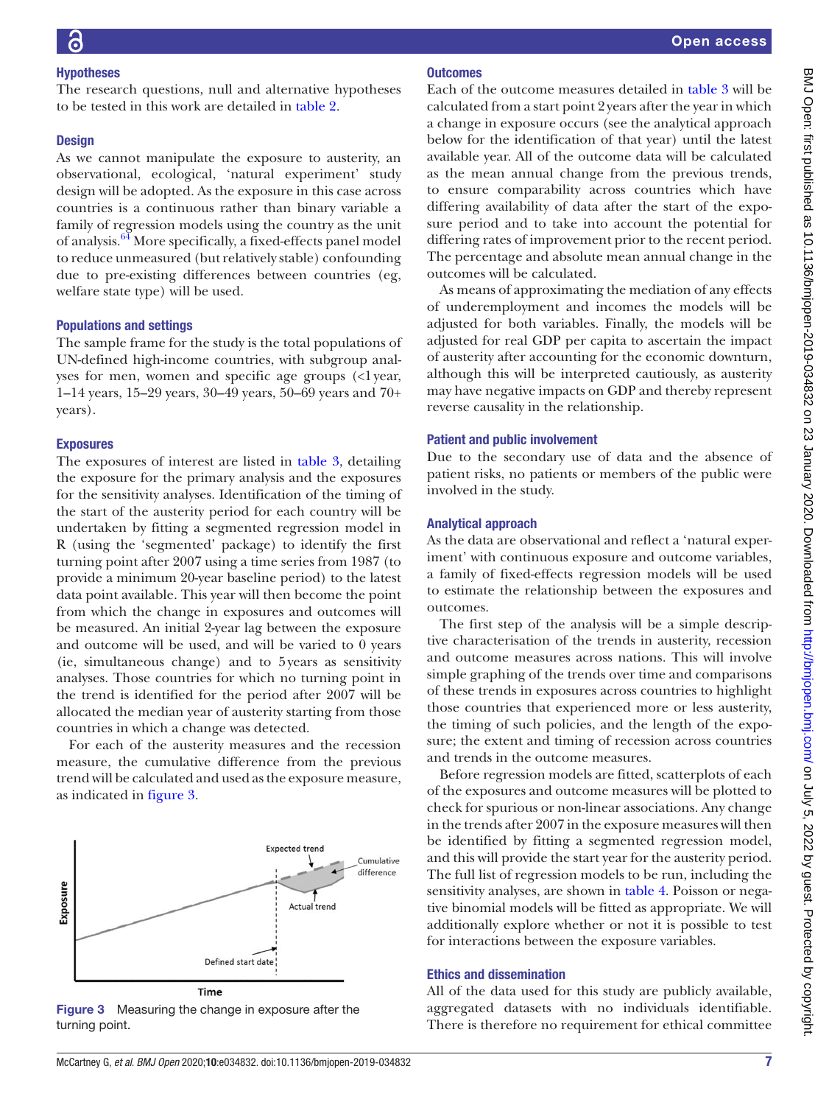## Hypotheses

The research questions, null and alternative hypotheses to be tested in this work are detailed in [table](#page-4-0) 2.

## **Design**

As we cannot manipulate the exposure to austerity, an observational, ecological, 'natural experiment' study design will be adopted. As the exposure in this case across countries is a continuous rather than binary variable a family of regression models using the country as the unit of analysis.[64](#page-9-13) More specifically, a fixed-effects panel model to reduce unmeasured (but relatively stable) confounding due to pre-existing differences between countries (eg, welfare state type) will be used.

## Populations and settings

The sample frame for the study is the total populations of UN-defined high-income countries, with subgroup analyses for men, women and specific age groups (<1year, 1–14 years, 15–29 years, 30–49 years, 50–69 years and 70+ years).

## **Exposures**

The exposures of interest are listed in [table](#page-5-0) 3, detailing the exposure for the primary analysis and the exposures for the sensitivity analyses. Identification of the timing of the start of the austerity period for each country will be undertaken by fitting a segmented regression model in R (using the 'segmented' package) to identify the first turning point after 2007 using a time series from 1987 (to provide a minimum 20-year baseline period) to the latest data point available. This year will then become the point from which the change in exposures and outcomes will be measured. An initial 2-year lag between the exposure and outcome will be used, and will be varied to 0 years (ie, simultaneous change) and to 5years as sensitivity analyses. Those countries for which no turning point in the trend is identified for the period after 2007 will be allocated the median year of austerity starting from those countries in which a change was detected.

For each of the austerity measures and the recession measure, the cumulative difference from the previous trend will be calculated and used as the exposure measure, as indicated in [figure](#page-6-0) 3.



<span id="page-6-0"></span>Figure 3 Measuring the change in exposure after the turning point.

## **Outcomes**

Each of the outcome measures detailed in [table](#page-5-0) 3 will be calculated from a start point 2years after the year in which a change in exposure occurs (see the analytical approach below for the identification of that year) until the latest available year. All of the outcome data will be calculated as the mean annual change from the previous trends, to ensure comparability across countries which have differing availability of data after the start of the exposure period and to take into account the potential for differing rates of improvement prior to the recent period. The percentage and absolute mean annual change in the outcomes will be calculated.

As means of approximating the mediation of any effects of underemployment and incomes the models will be adjusted for both variables. Finally, the models will be adjusted for real GDP per capita to ascertain the impact of austerity after accounting for the economic downturn, although this will be interpreted cautiously, as austerity may have negative impacts on GDP and thereby represent reverse causality in the relationship.

## Patient and public involvement

Due to the secondary use of data and the absence of patient risks, no patients or members of the public were involved in the study.

## Analytical approach

As the data are observational and reflect a 'natural experiment' with continuous exposure and outcome variables, a family of fixed-effects regression models will be used to estimate the relationship between the exposures and outcomes.

The first step of the analysis will be a simple descriptive characterisation of the trends in austerity, recession and outcome measures across nations. This will involve simple graphing of the trends over time and comparisons of these trends in exposures across countries to highlight those countries that experienced more or less austerity, the timing of such policies, and the length of the exposure; the extent and timing of recession across countries and trends in the outcome measures.

Before regression models are fitted, scatterplots of each of the exposures and outcome measures will be plotted to check for spurious or non-linear associations. Any change in the trends after 2007 in the exposure measures will then be identified by fitting a segmented regression model, and this will provide the start year for the austerity period. The full list of regression models to be run, including the sensitivity analyses, are shown in [table](#page-7-0) 4. Poisson or negative binomial models will be fitted as appropriate. We will additionally explore whether or not it is possible to test for interactions between the exposure variables.

## Ethics and dissemination

All of the data used for this study are publicly available, aggregated datasets with no individuals identifiable. There is therefore no requirement for ethical committee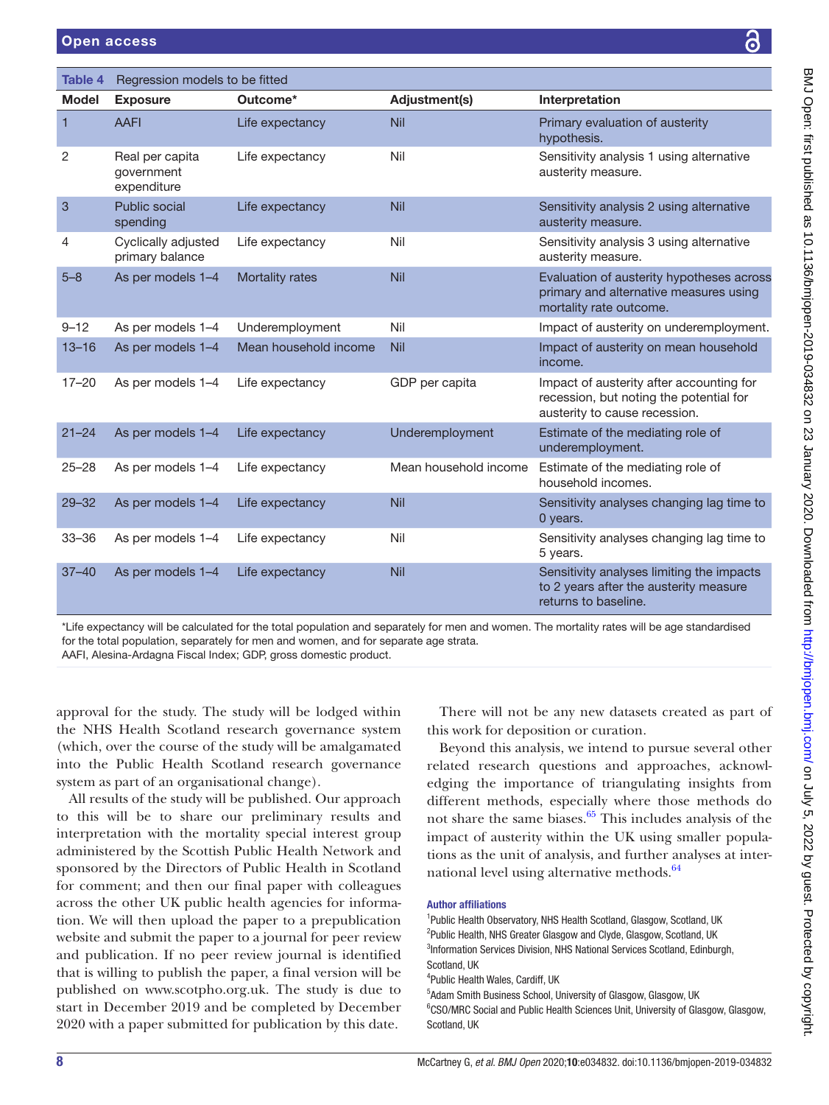<span id="page-7-0"></span>

| <b>Model</b>   | <b>Exposure</b>                              | Outcome*              | Adjustment(s)         | Interpretation                                                                                                       |
|----------------|----------------------------------------------|-----------------------|-----------------------|----------------------------------------------------------------------------------------------------------------------|
| 1              | <b>AAFI</b>                                  | Life expectancy       | <b>Nil</b>            | Primary evaluation of austerity<br>hypothesis.                                                                       |
| $\overline{2}$ | Real per capita<br>government<br>expenditure | Life expectancy       | Nil                   | Sensitivity analysis 1 using alternative<br>austerity measure.                                                       |
| 3              | Public social<br>spending                    | Life expectancy       | Nil                   | Sensitivity analysis 2 using alternative<br>austerity measure.                                                       |
| 4              | Cyclically adjusted<br>primary balance       | Life expectancy       | Nil                   | Sensitivity analysis 3 using alternative<br>austerity measure.                                                       |
| $5 - 8$        | As per models 1-4                            | Mortality rates       | Nil                   | Evaluation of austerity hypotheses across<br>primary and alternative measures using<br>mortality rate outcome.       |
| $9 - 12$       | As per models 1-4                            | Underemployment       | Nil                   | Impact of austerity on underemployment.                                                                              |
| $13 - 16$      | As per models 1-4                            | Mean household income | Nil                   | Impact of austerity on mean household<br>income.                                                                     |
| $17 - 20$      | As per models 1-4                            | Life expectancy       | GDP per capita        | Impact of austerity after accounting for<br>recession, but noting the potential for<br>austerity to cause recession. |
| $21 - 24$      | As per models 1-4                            | Life expectancy       | Underemployment       | Estimate of the mediating role of<br>underemployment.                                                                |
| $25 - 28$      | As per models 1-4                            | Life expectancy       | Mean household income | Estimate of the mediating role of<br>household incomes.                                                              |
| $29 - 32$      | As per models 1-4                            | Life expectancy       | Nil                   | Sensitivity analyses changing lag time to<br>0 years.                                                                |
| $33 - 36$      | As per models 1-4                            | Life expectancy       | Nil                   | Sensitivity analyses changing lag time to<br>5 years.                                                                |
| $37 - 40$      | As per models 1-4                            | Life expectancy       | Nil                   | Sensitivity analyses limiting the impacts<br>to 2 years after the austerity measure<br>returns to baseline.          |

AAFI, Alesina-Ardagna Fiscal Index; GDP, gross domestic product.

approval for the study. The study will be lodged within the NHS Health Scotland research governance system (which, over the course of the study will be amalgamated into the Public Health Scotland research governance system as part of an organisational change).

All results of the study will be published. Our approach to this will be to share our preliminary results and interpretation with the mortality special interest group administered by the Scottish Public Health Network and sponsored by the Directors of Public Health in Scotland for comment; and then our final paper with colleagues across the other UK public health agencies for information. We will then upload the paper to a prepublication website and submit the paper to a journal for peer review and publication. If no peer review journal is identified that is willing to publish the paper, a final version will be published on [www.scotpho.org.uk.](www.scotpho.org.uk) The study is due to start in December 2019 and be completed by December 2020 with a paper submitted for publication by this date.

There will not be any new datasets created as part of this work for deposition or curation.

Beyond this analysis, we intend to pursue several other related research questions and approaches, acknowledging the importance of triangulating insights from different methods, especially where those methods do not share the same biases.<sup>[65](#page-9-14)</sup> This includes analysis of the impact of austerity within the UK using smaller populations as the unit of analysis, and further analyses at inter-national level using alternative methods.<sup>[64](#page-9-13)</sup>

### Author affiliations

<sup>1</sup>Public Health Observatory, NHS Health Scotland, Glasgow, Scotland, UK <sup>2</sup>Public Health, NHS Greater Glasgow and Clyde, Glasgow, Scotland, UK 3 Information Services Division, NHS National Services Scotland, Edinburgh, Scotland, UK 4 Public Health Wales, Cardiff, UK 5 Adam Smith Business School, University of Glasgow, Glasgow, UK

<sup>6</sup>CSO/MRC Social and Public Health Sciences Unit, University of Glasgow, Glasgow, Scotland, UK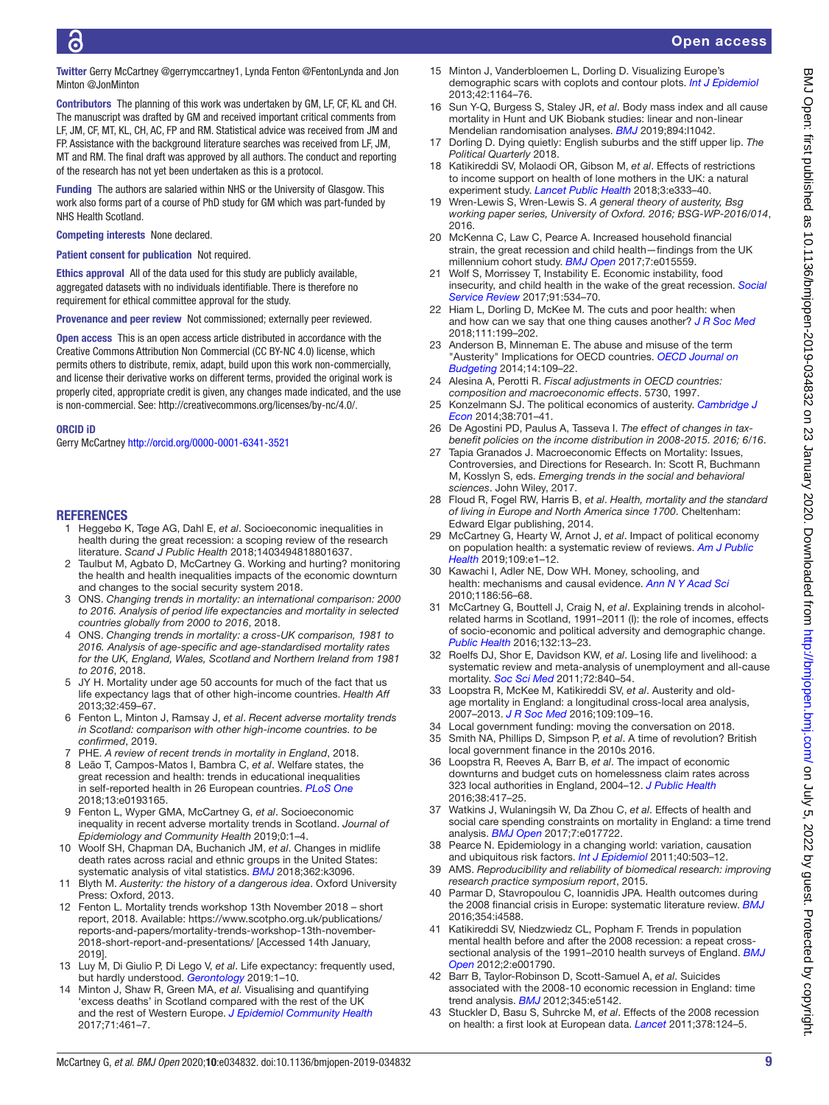Twitter Gerry McCartney [@gerrymccartney1,](https://twitter.com/gerrymccartney1) Lynda Fenton [@FentonLynda](https://twitter.com/FentonLynda) and Jon Minton [@JonMinton](https://twitter.com/JonMinton)

Contributors The planning of this work was undertaken by GM, LF, CF, KL and CH. The manuscript was drafted by GM and received important critical comments from LF, JM, CF, MT, KL, CH, AC, FP and RM. Statistical advice was received from JM and FP. Assistance with the background literature searches was received from LF, JM, MT and RM. The final draft was approved by all authors. The conduct and reporting of the research has not yet been undertaken as this is a protocol.

Funding The authors are salaried within NHS or the University of Glasgow. This work also forms part of a course of PhD study for GM which was part-funded by NHS Health Scotland.

#### Competing interests None declared.

Patient consent for publication Not required.

Ethics approval All of the data used for this study are publicly available, aggregated datasets with no individuals identifiable. There is therefore no requirement for ethical committee approval for the study.

Provenance and peer review Not commissioned; externally peer reviewed.

Open access This is an open access article distributed in accordance with the Creative Commons Attribution Non Commercial (CC BY-NC 4.0) license, which permits others to distribute, remix, adapt, build upon this work non-commercially, and license their derivative works on different terms, provided the original work is properly cited, appropriate credit is given, any changes made indicated, and the use is non-commercial. See: <http://creativecommons.org/licenses/by-nc/4.0/>.

#### ORCID iD

Gerry McCartney<http://orcid.org/0000-0001-6341-3521>

#### **REFERENCES**

- <span id="page-8-0"></span>1 Heggebø K, Tøge AG, Dahl E, *et al*. Socioeconomic inequalities in health during the great recession: a scoping review of the research literature. *Scand J Public Health* 2018;1403494818801637.
- <span id="page-8-11"></span>2 Taulbut M, Agbato D, McCartney G. Working and hurting? monitoring the health and health inequalities impacts of the economic downturn and changes to the social security system 2018.
- <span id="page-8-3"></span>3 ONS. *Changing trends in mortality: an international comparison: 2000 to 2016. Analysis of period life expectancies and mortality in selected countries globally from 2000 to 2016*, 2018.
- 4 ONS. *Changing trends in mortality: a cross-UK comparison, 1981 to 2016. Analysis of age-specific and age-standardised mortality rates for the UK, England, Wales, Scotland and Northern Ireland from 1981 to 2016*, 2018.
- 5 JY H. Mortality under age 50 accounts for much of the fact that us life expectancy lags that of other high-income countries. *Health Aff* 2013;32:459–67.
- <span id="page-8-1"></span>6 Fenton L, Minton J, Ramsay J, *et al*. *Recent adverse mortality trends in Scotland: comparison with other high-income countries. to be confirmed*, 2019.
- <span id="page-8-7"></span>7 PHE. *A review of recent trends in mortality in England*, 2018.
- <span id="page-8-2"></span>8 Leão T, Campos-Matos I, Bambra C, *et al*. Welfare states, the great recession and health: trends in educational inequalities in self-reported health in 26 European countries. *[PLoS One](http://dx.doi.org/10.1371/journal.pone.0193165)* 2018;13:e0193165.
- 9 Fenton L, Wyper GMA, McCartney G, *et al*. Socioeconomic inequality in recent adverse mortality trends in Scotland. *Journal of Epidemiology and Community Health* 2019;0:1–4.
- <span id="page-8-4"></span>10 Woolf SH, Chapman DA, Buchanich JM, *et al*. Changes in midlife death rates across racial and ethnic groups in the United States: systematic analysis of vital statistics. *[BMJ](http://dx.doi.org/10.1136/bmj.k3096)* 2018;362:k3096.
- <span id="page-8-5"></span>11 Blyth M. *Austerity: the history of a dangerous idea*. Oxford University Press: Oxford, 2013.
- <span id="page-8-6"></span>12 Fenton L. Mortality trends workshop 13th November 2018 – short report, 2018. Available: [https://www.scotpho.org.uk/publications/](https://www.scotpho.org.uk/publications/reports-and-papers/mortality-trends-workshop-13th-november-2018-short-report-and-presentations/) [reports-and-papers/mortality-trends-workshop-13th-november-](https://www.scotpho.org.uk/publications/reports-and-papers/mortality-trends-workshop-13th-november-2018-short-report-and-presentations/)[2018-short-report-and-presentations/](https://www.scotpho.org.uk/publications/reports-and-papers/mortality-trends-workshop-13th-november-2018-short-report-and-presentations/) [Accessed 14th January, 2019].
- <span id="page-8-8"></span>13 Luy M, Di Giulio P, Di Lego V, *et al*. Life expectancy: frequently used, but hardly understood. *[Gerontology](http://dx.doi.org/10.1159/000500955)* 2019:1–10.
- 14 Minton J, Shaw R, Green MA, *et al*. Visualising and quantifying 'excess deaths' in Scotland compared with the rest of the UK and the rest of Western Europe. *[J Epidemiol Community Health](http://dx.doi.org/10.1136/jech-2016-207379)* 2017;71:461–7.
- 15 Minton J, Vanderbloemen L, Dorling D. Visualizing Europe's demographic scars with coplots and contour plots. *[Int J Epidemiol](http://dx.doi.org/10.1093/ije/dyt115)* 2013;42:1164–76.
- <span id="page-8-9"></span>16 Sun Y-Q, Burgess S, Staley JR, *et al*. Body mass index and all cause mortality in Hunt and UK Biobank studies: linear and non-linear Mendelian randomisation analyses. *[BMJ](http://dx.doi.org/10.1136/bmj.l1042)* 2019;894:l1042.
- <span id="page-8-10"></span>17 Dorling D. Dying quietly: English suburbs and the stiff upper lip. *The Political Quarterly* 2018.
- 18 Katikireddi SV, Molaodi OR, Gibson M, *et al*. Effects of restrictions to income support on health of lone mothers in the UK: a natural experiment study. *[Lancet Public Health](http://dx.doi.org/10.1016/S2468-2667(18)30109-9)* 2018;3:e333–40.
- <span id="page-8-12"></span>19 Wren-Lewis S, Wren-Lewis S. *A general theory of austerity, Bsg working paper series, University of Oxford. 2016; BSG-WP-2016/014*, 2016.
- 20 McKenna C, Law C, Pearce A. Increased household financial strain, the great recession and child health—findings from the UK millennium cohort study. *[BMJ Open](http://dx.doi.org/10.1136/bmjopen-2016-015559)* 2017;7:e015559.
- 21 Wolf S, Morrissey T, Instability E. Economic instability, food insecurity, and child health in the wake of the great recession. *[Social](http://dx.doi.org/10.1086/694111)  [Service Review](http://dx.doi.org/10.1086/694111)* 2017;91:534–70.
- <span id="page-8-24"></span>22 Hiam L, Dorling D, McKee M. The cuts and poor health: when and how can we say that one thing causes another? *[J R Soc Med](http://dx.doi.org/10.1177/0141076818779237)* 2018;111:199–202.
- <span id="page-8-13"></span>23 Anderson B, Minneman E. The abuse and misuse of the term "Austerity" Implications for OECD countries. *[OECD Journal on](http://dx.doi.org/10.1787/budget-14-5jxrmdxc6sq1)  [Budgeting](http://dx.doi.org/10.1787/budget-14-5jxrmdxc6sq1)* 2014;14:109–22.
- <span id="page-8-14"></span>24 Alesina A, Perotti R. *Fiscal adjustments in OECD countries: composition and macroeconomic effects*. 5730, 1997.
- <span id="page-8-15"></span>25 Konzelmann SJ. The political economics of austerity. *[Cambridge J](http://dx.doi.org/10.1093/cje/bet076)  [Econ](http://dx.doi.org/10.1093/cje/bet076)* 2014;38:701–41.
- <span id="page-8-16"></span>26 De Agostini PD, Paulus A, Tasseva I. *The effect of changes in taxbenefit policies on the income distribution in 2008-2015. 2016; 6/16*.
- <span id="page-8-17"></span>27 Tapia Granados J. Macroeconomic Effects on Mortality: Issues, Controversies, and Directions for Research. In: Scott R, Buchmann M, Kosslyn S, eds. *Emerging trends in the social and behavioral sciences*. John Wiley, 2017.
- 28 Floud R, Fogel RW, Harris B, *et al*. *Health, mortality and the standard of living in Europe and North America since 1700*. Cheltenham: Edward Elgar publishing, 2014.
- <span id="page-8-20"></span>29 McCartney G, Hearty W, Arnot J, *et al*. Impact of political economy on population health: a systematic review of reviews. *[Am J Public](http://dx.doi.org/10.2105/AJPH.2019.305001)  [Health](http://dx.doi.org/10.2105/AJPH.2019.305001)* 2019;109:e1–12.
- <span id="page-8-18"></span>30 Kawachi I, Adler NE, Dow WH. Money, schooling, and health: mechanisms and causal evidence. *[Ann N Y Acad Sci](http://dx.doi.org/10.1111/j.1749-6632.2009.05340.x)* 2010;1186:56–68.
- 31 McCartney G, Bouttell J, Craig N, *et al*. Explaining trends in alcoholrelated harms in Scotland, 1991–2011 (I): the role of incomes, effects of socio-economic and political adversity and demographic change. *[Public Health](http://dx.doi.org/10.1016/j.puhe.2015.12.013)* 2016;132:13–23.
- <span id="page-8-19"></span>32 Roelfs DJ, Shor E, Davidson KW, *et al*. Losing life and livelihood: a systematic review and meta-analysis of unemployment and all-cause mortality. *[Soc Sci Med](http://dx.doi.org/10.1016/j.socscimed.2011.01.005)* 2011;72:840–54.
- <span id="page-8-23"></span>33 Loopstra R, McKee M, Katikireddi SV, *et al*. Austerity and oldage mortality in England: a longitudinal cross-local area analysis, 2007–2013. *[J R Soc Med](http://dx.doi.org/10.1177/0141076816632215)* 2016;109:109–16.
- <span id="page-8-21"></span>34 Local government funding: moving the conversation on 2018. 35 Smith NA, Phillips D, Simpson P, *et al*. A time of revolution? British
- <span id="page-8-22"></span>local government finance in the 2010s 2016.
- 36 Loopstra R, Reeves A, Barr B, *et al*. The impact of economic downturns and budget cuts on homelessness claim rates across 323 local authorities in England, 2004–12. *[J Public Health](http://dx.doi.org/10.1093/pubmed/fdv126)* 2016;38:417–25.
- 37 Watkins J, Wulaningsih W, Da Zhou C, *et al*. Effects of health and social care spending constraints on mortality in England: a time trend analysis. *[BMJ Open](http://dx.doi.org/10.1136/bmjopen-2017-017722)* 2017;7:e017722.
- <span id="page-8-25"></span>38 Pearce N. Epidemiology in a changing world: variation, causation and ubiquitous risk factors. *[Int J Epidemiol](http://dx.doi.org/10.1093/ije/dyq257)* 2011;40:503–12.
- <span id="page-8-26"></span>39 AMS. *Reproducibility and reliability of biomedical research: improving research practice symposium report*, 2015.
- <span id="page-8-27"></span>40 Parmar D, Stavropoulou C, Ioannidis JPA. Health outcomes during the 2008 financial crisis in Europe: systematic literature review. *[BMJ](http://dx.doi.org/10.1136/bmj.i4588)* 2016;354:i4588.
- <span id="page-8-28"></span>41 Katikireddi SV, Niedzwiedz CL, Popham F. Trends in population mental health before and after the 2008 recession: a repeat crosssectional analysis of the 1991–2010 health surveys of England. *[BMJ](http://dx.doi.org/10.1136/bmjopen-2012-001790)  [Open](http://dx.doi.org/10.1136/bmjopen-2012-001790)* 2012;2:e001790.
- 42 Barr B, Taylor-Robinson D, Scott-Samuel A, *et al*. Suicides associated with the 2008-10 economic recession in England: time trend analysis. *[BMJ](http://dx.doi.org/10.1136/bmj.e5142)* 2012;345:e5142.
- 43 Stuckler D, Basu S, Suhrcke M, *et al*. Effects of the 2008 recession on health: a first look at European data. *[Lancet](http://dx.doi.org/10.1016/S0140-6736(11)61079-9)* 2011;378:124–5.